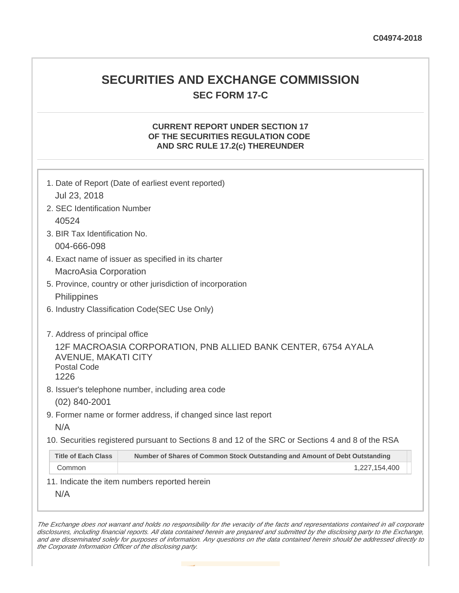## **SECURITIES AND EXCHANGE COMMISSION SEC FORM 17-C**

## **CURRENT REPORT UNDER SECTION 17 OF THE SECURITIES REGULATION CODE AND SRC RULE 17.2(c) THEREUNDER**

|                                                          | 1. Date of Report (Date of earliest event reported)                                               |
|----------------------------------------------------------|---------------------------------------------------------------------------------------------------|
| Jul 23, 2018                                             |                                                                                                   |
| 2. SEC Identification Number                             |                                                                                                   |
| 40524                                                    |                                                                                                   |
| 3. BIR Tax Identification No.                            |                                                                                                   |
| 004-666-098                                              |                                                                                                   |
|                                                          | 4. Exact name of issuer as specified in its charter                                               |
| <b>MacroAsia Corporation</b>                             |                                                                                                   |
|                                                          | 5. Province, country or other jurisdiction of incorporation                                       |
| Philippines                                              |                                                                                                   |
|                                                          | 6. Industry Classification Code(SEC Use Only)                                                     |
|                                                          |                                                                                                   |
| 7. Address of principal office                           |                                                                                                   |
| <b>AVENUE, MAKATI CITY</b><br><b>Postal Code</b><br>1226 | 12F MACROASIA CORPORATION, PNB ALLIED BANK CENTER, 6754 AYALA                                     |
|                                                          | 8. Issuer's telephone number, including area code                                                 |
| $(02)$ 840-2001                                          |                                                                                                   |
|                                                          | 9. Former name or former address, if changed since last report                                    |
| N/A                                                      |                                                                                                   |
|                                                          | 10. Securities registered pursuant to Sections 8 and 12 of the SRC or Sections 4 and 8 of the RSA |
| <b>Title of Each Class</b>                               | Number of Shares of Common Stock Outstanding and Amount of Debt Outstanding                       |
| Common                                                   | 1,227,154,400                                                                                     |
|                                                          | 11. Indicate the item numbers reported herein                                                     |
| N/A                                                      |                                                                                                   |

The Exchange does not warrant and holds no responsibility for the veracity of the facts and representations contained in all corporate disclosures, including financial reports. All data contained herein are prepared and submitted by the disclosing party to the Exchange, and are disseminated solely for purposes of information. Any questions on the data contained herein should be addressed directly to the Corporate Information Officer of the disclosing party.

**Contract**